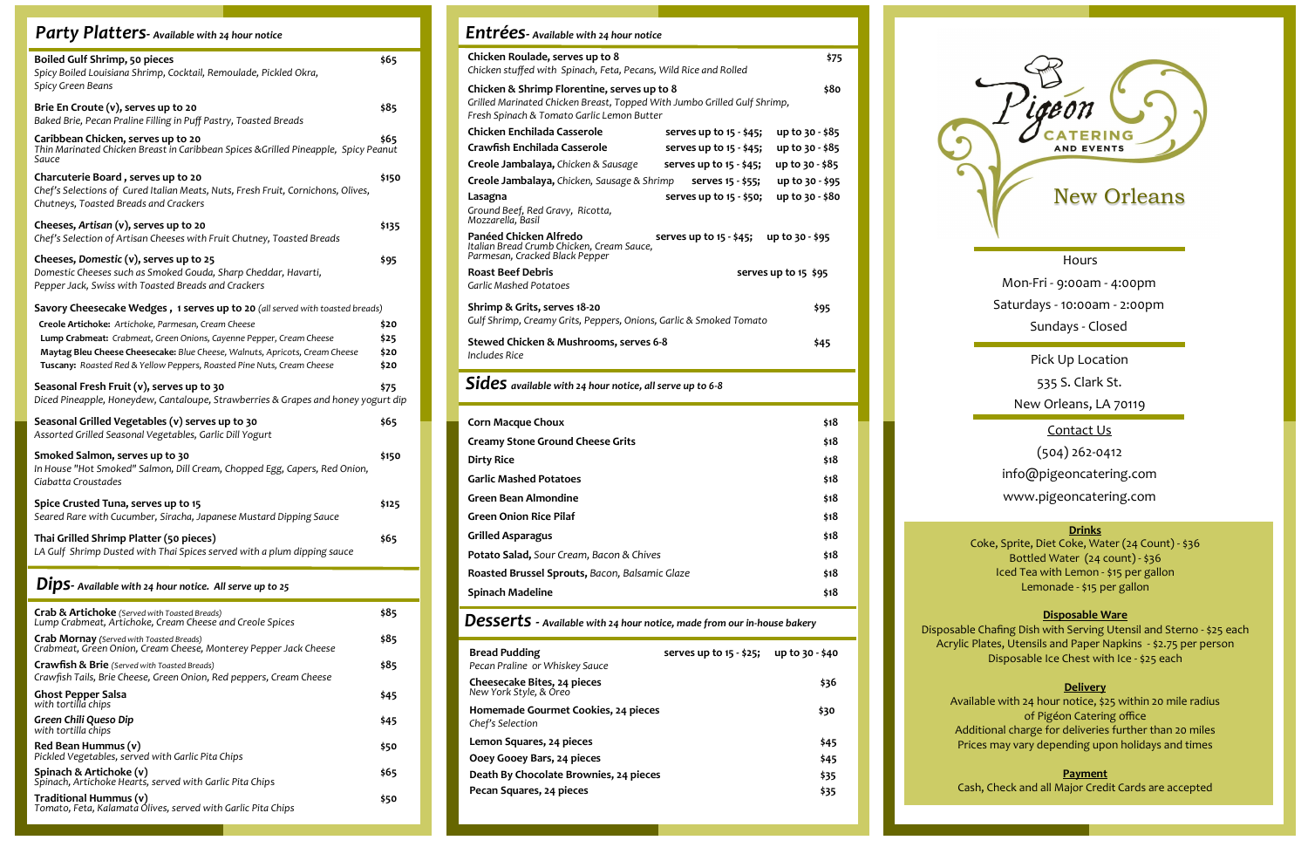Hours

Mon-Fri - 9:00am - 4:00pm Saturdays - 10:00am - 2:00pm Sundays - Closed

> Pick Up Location 535 S. Clark St.

New Orleans, LA 70119

Contact Us

(504) 262-0412

info@pigeoncatering.com

www.pigeoncatering.com

| Party Platters- Available with 24 hour notice                                                                                                                                                                                                                                       |                              |
|-------------------------------------------------------------------------------------------------------------------------------------------------------------------------------------------------------------------------------------------------------------------------------------|------------------------------|
| Boiled Gulf Shrimp, 50 pieces<br>Spicy Boiled Louisiana Shrimp, Cocktail, Remoulade, Pickled Okra,<br>Spicy Green Beans                                                                                                                                                             | \$65                         |
| Brie En Croute (v), serves up to 20<br>Baked Brie, Pecan Praline Filling in Puff Pastry, Toasted Breads                                                                                                                                                                             | \$85                         |
| Caribbean Chicken, serves up to 20<br>Thin Marinated Chicken Breast in Caribbean Spices & Grilled Pineapple, Spicy Peanut<br>Sauce                                                                                                                                                  | \$65                         |
| Charcuterie Board, serves up to 20<br>Chef's Selections of Cured Italian Meats, Nuts, Fresh Fruit, Cornichons, Olives,<br>Chutneys, Toasted Breads and Crackers                                                                                                                     | \$150                        |
| Cheeses, Artisan (v), serves up to 20<br>Chef's Selection of Artisan Cheeses with Fruit Chutney, Toasted Breads                                                                                                                                                                     | \$135                        |
| Cheeses, Domestic (v), serves up to 25<br>Domestic Cheeses such as Smoked Gouda, Sharp Cheddar, Havarti,<br>Pepper Jack, Swiss with Toasted Breads and Crackers                                                                                                                     | \$95                         |
| Savory Cheesecake Wedges, 1 serves up to 20 (all served with toasted breads)                                                                                                                                                                                                        |                              |
| Creole Artichoke: Artichoke, Parmesan, Cream Cheese<br>Lump Crabmeat: Crabmeat, Green Onions, Cayenne Pepper, Cream Cheese<br>Maytag Bleu Cheese Cheesecake: Blue Cheese, Walnuts, Apricots, Cream Cheese<br>Tuscany: Roasted Red & Yellow Peppers, Roasted Pine Nuts, Cream Cheese | \$20<br>\$25<br>\$20<br>\$20 |
| Seasonal Fresh Fruit (v), serves up to 30<br>Diced Pineapple, Honeydew, Cantaloupe, Strawberries & Grapes and honey yogurt dip                                                                                                                                                      | \$75                         |
| Seasonal Grilled Vegetables (v) serves up to 30<br>Assorted Grilled Seasonal Vegetables, Garlic Dill Yogurt                                                                                                                                                                         | \$65                         |
| Smoked Salmon, serves up to 30<br>In House "Hot Smoked" Salmon, Dill Cream, Chopped Egg, Capers, Red Onion,<br>Ciabatta Croustades                                                                                                                                                  | \$150                        |
| Spice Crusted Tuna, serves up to 15<br>Seared Rare with Cucumber, Siracha, Japanese Mustard Dipping Sauce                                                                                                                                                                           | \$125                        |
| Thai Grilled Shrimp Platter (50 pieces)<br>LA Gulf Shrimp Dusted with Thai Spices served with a plum dipping sauce                                                                                                                                                                  | \$65                         |
| $Dips$ - Available with 24 hour notice. All serve up to 25                                                                                                                                                                                                                          |                              |
| Crab & Artichoke (Served with Toasted Breads)<br>Lump Crabmeat, Artichoke, Cream Cheese and Creole Spices                                                                                                                                                                           | \$85                         |
| <b>Crab Mornay</b> (Served with Toasted Breads)<br>Crabmeat, Green Onion, Cream Cheese, Monterey Pepper Jack Cheese                                                                                                                                                                 | \$85                         |
| Crawfish & Brie (Served with Toasted Breads)<br>Crawfish Tails, Brie Cheese, Green Onion, Red peppers, Cream Cheese                                                                                                                                                                 | \$85                         |
| <b>Ghost Pepper Salsa</b><br>with tortilla chips                                                                                                                                                                                                                                    | \$45                         |
| Green Chili Queso Dip<br>with tortilla chips                                                                                                                                                                                                                                        | \$45                         |
| Red Bean Hummus (v)<br>Pickled Vegetables, served with Garlic Pita Chips                                                                                                                                                                                                            | \$50                         |
| Spinach & Artichoke (v)<br>Spinach, Artichoke Hearts, served with Garlic Pita Chips                                                                                                                                                                                                 | \$65                         |
| Traditional Hummus (v)<br>Tomato, Feta, Kalamata Olives, served with Garlic Pita Chips                                                                                                                                                                                              | \$50                         |

| Entrées- Available with 24 hour notice                                                                                                                                |                           |                      |
|-----------------------------------------------------------------------------------------------------------------------------------------------------------------------|---------------------------|----------------------|
| Chicken Roulade, serves up to 8<br>Chicken stuffed with Spinach, Feta, Pecans, Wild Rice and Rolled                                                                   |                           | \$75                 |
| Chicken & Shrimp Florentine, serves up to 8<br>Grilled Marinated Chicken Breast, Topped With Jumbo Grilled Gulf Shrimp,<br>Fresh Spinach & Tomato Garlic Lemon Butter |                           | \$80                 |
| Chicken Enchilada Casserole                                                                                                                                           | serves up to $15 - 545$ ; | up to 30 - \$85      |
| Crawfish Enchilada Casserole                                                                                                                                          | serves up to $15 - 45$ ;  | up to 30 - \$85      |
| Creole Jambalaya, Chicken & Sausage                                                                                                                                   | serves up to 15 - \$45;   | up to 30 - \$85      |
| Creole Jambalaya, Chicken, Sausage & Shrimp                                                                                                                           | serves 15 - \$55;         | up to 30 - \$95      |
| Lasagna<br>Ground Beef, Red Gravy, Ricotta,<br>Mozzarella, Basil                                                                                                      | serves up to 15 - \$50;   | up to 30 - \$80      |
| Panéed Chicken Alfredo<br>Italian Bread Crumb Chicken, Cream Sauce,<br>Parmesan, Cracked Black Pepper                                                                 | serves up to $15 - $45$ ; | $up to 30 - 595$     |
| <b>Roast Beef Debris</b>                                                                                                                                              |                           | serves up to 15 \$95 |
| <b>Garlic Mashed Potatoes</b>                                                                                                                                         |                           |                      |
| Shrimp & Grits, serves 18-20<br>Gulf Shrimp, Creamy Grits, Peppers, Onions, Garlic & Smoked Tomato                                                                    |                           | \$95                 |
| Stewed Chicken & Mushrooms, serves 6-8<br><b>Includes Rice</b>                                                                                                        |                           | \$45                 |
| Sides available with 24 hour notice, all serve up to 6-8                                                                                                              |                           |                      |
| <b>Corn Macque Choux</b>                                                                                                                                              |                           | \$18                 |
| <b>Creamy Stone Ground Cheese Grits</b>                                                                                                                               |                           | \$18                 |
| <b>Dirty Rice</b>                                                                                                                                                     |                           | \$18                 |
| <b>Garlic Mashed Potatoes</b>                                                                                                                                         |                           | \$18                 |
| <b>Green Bean Almondine</b>                                                                                                                                           |                           | \$18                 |
| <b>Green Onion Rice Pilaf</b>                                                                                                                                         |                           | \$18                 |
| <b>Grilled Asparagus</b>                                                                                                                                              |                           | \$18                 |
| Potato Salad, Sour Cream, Bacon & Chives                                                                                                                              |                           | \$18                 |
| Roasted Brussel Sprouts, Bacon, Balsamic Glaze                                                                                                                        |                           | \$18                 |
| <b>Spinach Madeline</b>                                                                                                                                               |                           | \$18                 |
|                                                                                                                                                                       |                           |                      |
| Desserts - Available with 24 hour notice, made from our in-house bakery                                                                                               |                           |                      |
| <b>Bread Pudding</b><br>Pecan Praline or Whiskey Sauce                                                                                                                | serves up to 15 - \$25;   | up to 30 - \$40      |
| Cheesecake Bites, 24 pieces                                                                                                                                           |                           | \$36                 |

| Cheesecake Bites, 24 pieces<br>New York Style, & Oreo   | \$36 |
|---------------------------------------------------------|------|
| Homemade Gourmet Cookies, 24 pieces<br>Chef's Selection | \$30 |
| Lemon Squares, 24 pieces                                | \$45 |
| Ooey Gooey Bars, 24 pieces                              | \$45 |
| Death By Chocolate Brownies, 24 pieces                  | \$35 |
| Pecan Squares, 24 pieces                                | \$35 |

# **Drinks**

Coke, Sprite, Diet Coke, Water (24 Count) - \$36 Bottled Water (24 count) - \$36 Iced Tea with Lemon - \$15 per gallon Lemonade - \$15 per gallon

# **Disposable Ware**

Disposable Chafing Dish with Serving Utensil and Sterno - \$25 each Acrylic Plates, Utensils and Paper Napkins - \$2.75 per person Disposable Ice Chest with Ice - \$25 each

# **Delivery**

Available with 24 hour notice, \$25 within 20 mile radius of Pigéon Catering office Additional charge for deliveries further than 20 miles Prices may vary depending upon holidays and times

# **Payment**

Cash, Check and all Major Credit Cards are accepted